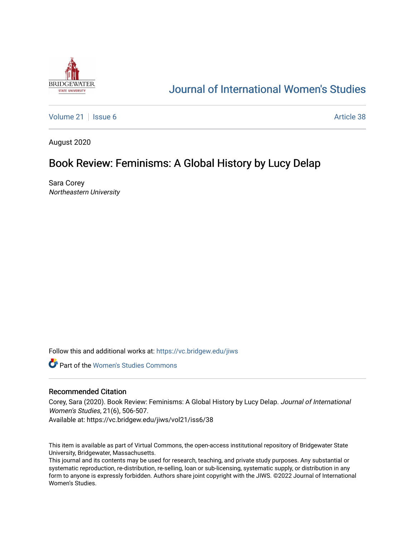

# [Journal of International Women's Studies](https://vc.bridgew.edu/jiws)

[Volume 21](https://vc.bridgew.edu/jiws/vol21) | [Issue 6](https://vc.bridgew.edu/jiws/vol21/iss6) Article 38

August 2020

# Book Review: Feminisms: A Global History by Lucy Delap

Sara Corey Northeastern University

Follow this and additional works at: [https://vc.bridgew.edu/jiws](https://vc.bridgew.edu/jiws?utm_source=vc.bridgew.edu%2Fjiws%2Fvol21%2Fiss6%2F38&utm_medium=PDF&utm_campaign=PDFCoverPages)

**C** Part of the Women's Studies Commons

### Recommended Citation

Corey, Sara (2020). Book Review: Feminisms: A Global History by Lucy Delap. Journal of International Women's Studies, 21(6), 506-507.

Available at: https://vc.bridgew.edu/jiws/vol21/iss6/38

This item is available as part of Virtual Commons, the open-access institutional repository of Bridgewater State University, Bridgewater, Massachusetts.

This journal and its contents may be used for research, teaching, and private study purposes. Any substantial or systematic reproduction, re-distribution, re-selling, loan or sub-licensing, systematic supply, or distribution in any form to anyone is expressly forbidden. Authors share joint copyright with the JIWS. ©2022 Journal of International Women's Studies.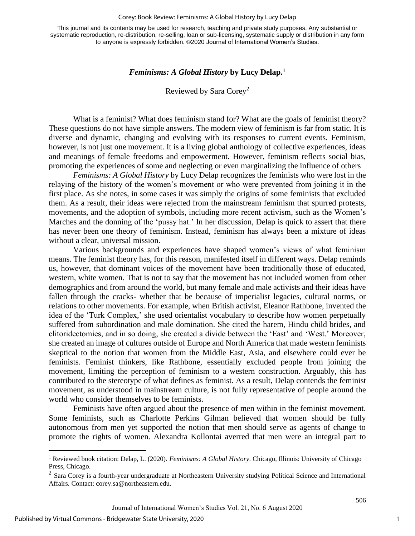#### Corey: Book Review: Feminisms: A Global History by Lucy Delap

This journal and its contents may be used for research, teaching and private study purposes. Any substantial or systematic reproduction, re-distribution, re-selling, loan or sub-licensing, systematic supply or distribution in any form to anyone is expressly forbidden. ©2020 Journal of International Women's Studies.

### *Feminisms: A Global History* **by Lucy Delap. 1**

## Reviewed by Sara Corey<sup>2</sup>

What is a feminist? What does feminism stand for? What are the goals of feminist theory? These questions do not have simple answers. The modern view of feminism is far from static. It is diverse and dynamic, changing and evolving with its responses to current events. Feminism, however, is not just one movement. It is a living global anthology of collective experiences, ideas and meanings of female freedoms and empowerment. However, feminism reflects social bias, promoting the experiences of some and neglecting or even marginalizing the influence of others

*Feminisms: A Global History* by Lucy Delap recognizes the feminists who were lost in the relaying of the history of the women's movement or who were prevented from joining it in the first place. As she notes, in some cases it was simply the origins of some feminists that excluded them. As a result, their ideas were rejected from the mainstream feminism that spurred protests, movements, and the adoption of symbols, including more recent activism, such as the Women's Marches and the donning of the 'pussy hat.' In her discussion, Delap is quick to assert that there has never been one theory of feminism. Instead, feminism has always been a mixture of ideas without a clear, universal mission.

Various backgrounds and experiences have shaped women's views of what feminism means. The feminist theory has, for this reason, manifested itself in different ways. Delap reminds us, however, that dominant voices of the movement have been traditionally those of educated, western, white women. That is not to say that the movement has not included women from other demographics and from around the world, but many female and male activists and their ideas have fallen through the cracks- whether that be because of imperialist legacies, cultural norms, or relations to other movements. For example, when British activist, Eleanor Rathbone, invented the idea of the 'Turk Complex,' she used orientalist vocabulary to describe how women perpetually suffered from subordination and male domination. She cited the harem, Hindu child brides, and clitoridectomies, and in so doing, she created a divide between the 'East' and 'West.' Moreover, she created an image of cultures outside of Europe and North America that made western feminists skeptical to the notion that women from the Middle East, Asia, and elsewhere could ever be feminists. Feminist thinkers, like Rathbone, essentially excluded people from joining the movement, limiting the perception of feminism to a western construction. Arguably, this has contributed to the stereotype of what defines as feminist. As a result, Delap contends the feminist movement, as understood in mainstream culture, is not fully representative of people around the world who consider themselves to be feminists.

Feminists have often argued about the presence of men within in the feminist movement. Some feminists, such as Charlotte Perkins Gilman believed that women should be fully autonomous from men yet supported the notion that men should serve as agents of change to promote the rights of women. Alexandra Kollontai averred that men were an integral part to

506

<sup>1</sup> Reviewed book citation: Delap, L. (2020). *Feminisms: A Global History*. Chicago, Illinois: University of Chicago Press, Chicago.

 $2$  Sara Corey is a fourth-year undergraduate at Northeastern University studying Political Science and International Affairs. Contact[: corey.sa@northeastern.edu.](mailto:corey.sa@northeastern.edu)